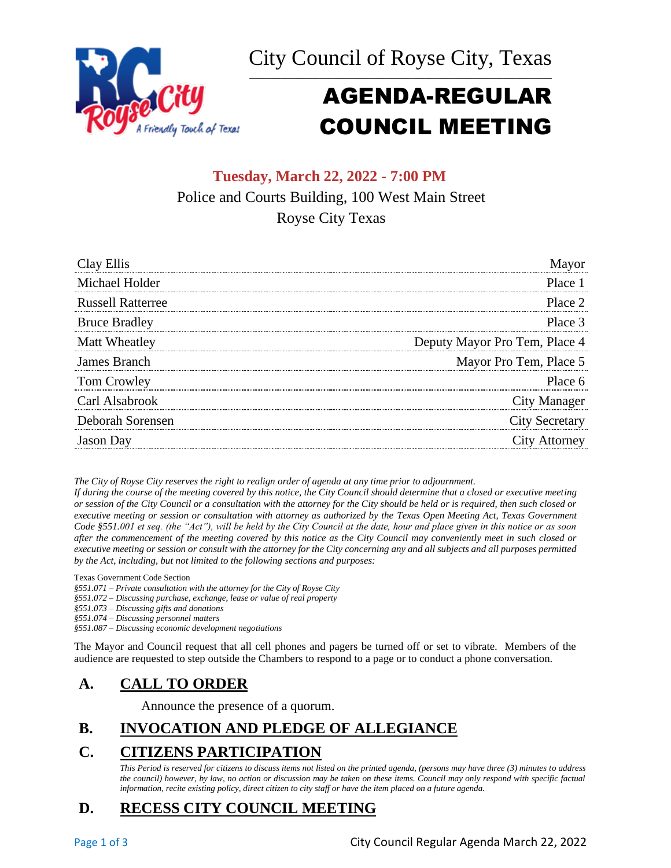



# AGENDA-REGULAR COUNCIL MEETING

# **Tuesday, March 22, 2022 - 7:00 PM** Police and Courts Building, 100 West Main Street Royse City Texas

| Clav Ellis               |                               |
|--------------------------|-------------------------------|
| Michael Holder           | Place 1                       |
| <b>Russell Ratterree</b> | Place 2                       |
| <b>Bruce Bradley</b>     | Place 3                       |
| Matt Wheatley            | Deputy Mayor Pro Tem, Place 4 |
| James Branch             | Mayor Pro Tem, Place 5        |
| Tom Crowley              | Place 6                       |
| Carl Alsabrook           | City Manager                  |
| Deborah Sorensen         | <b>City Secretary</b>         |
| <b>Jason</b> Day         | City Attorney                 |

*The City of Royse City reserves the right to realign order of agenda at any time prior to adjournment.*

*If during the course of the meeting covered by this notice, the City Council should determine that a closed or executive meeting or session of the City Council or a consultation with the attorney for the City should be held or is required, then such closed or executive meeting or session or consultation with attorney as authorized by the Texas Open Meeting Act, Texas Government Code §551.001 et seq. (the "Act"), will be held by the City Council at the date, hour and place given in this notice or as soon after the commencement of the meeting covered by this notice as the City Council may conveniently meet in such closed or executive meeting or session or consult with the attorney for the City concerning any and all subjects and all purposes permitted by the Act, including, but not limited to the following sections and purposes:*

Texas Government Code Section

*§551.071 – Private consultation with the attorney for the City of Royse City* 

*§551.072 – Discussing purchase, exchange, lease or value of real property* 

*§551.073 – Discussing gifts and donations*

*§551.074 – Discussing personnel matters*

*§551.087 – Discussing economic development negotiations*

The Mayor and Council request that all cell phones and pagers be turned off or set to vibrate. Members of the audience are requested to step outside the Chambers to respond to a page or to conduct a phone conversation.

### **A. CALL TO ORDER**

Announce the presence of a quorum.

### **B. INVOCATION AND PLEDGE OF ALLEGIANCE**

### **C. CITIZENS PARTICIPATION**

*This Period is reserved for citizens to discuss items not listed on the printed agenda, (persons may have three (3) minutes to address the council) however, by law, no action or discussion may be taken on these items. Council may only respond with specific factual information, recite existing policy, direct citizen to city staff or have the item placed on a future agenda.*

### **D. RECESS CITY COUNCIL MEETING**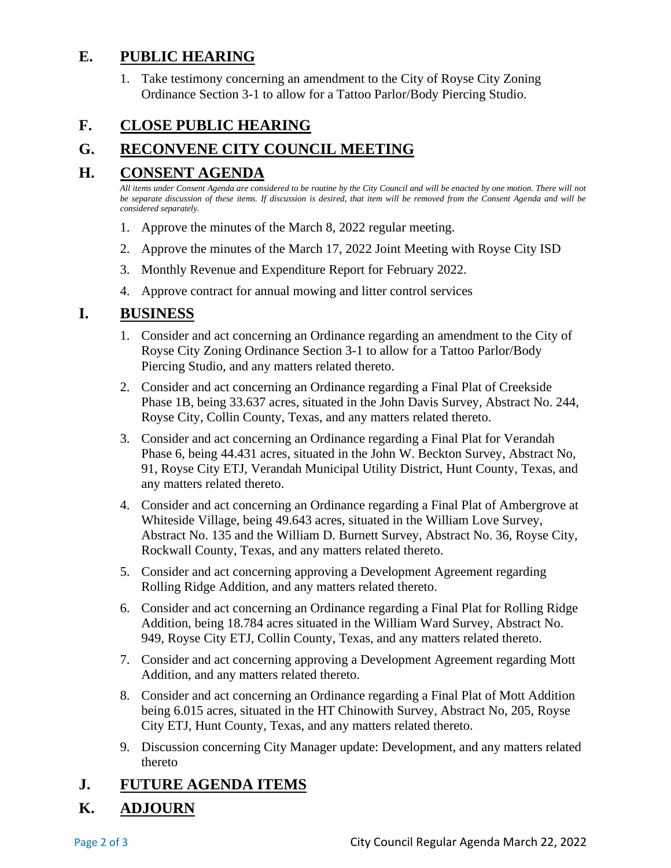#### **E. PUBLIC HEARING**

1. Take testimony concerning an amendment to the City of Royse City Zoning Ordinance Section 3-1 to allow for a Tattoo Parlor/Body Piercing Studio.

# **F. CLOSE PUBLIC HEARING**

# **G. RECONVENE CITY COUNCIL MEETING**

#### **H. CONSENT AGENDA**

*All items under Consent Agenda are considered to be routine by the City Council and will be enacted by one motion. There will not*  be separate discussion of these items. If discussion is desired, that item will be removed from the Consent Agenda and will be *considered separately.*

- 1. Approve the minutes of the March 8, 2022 regular meeting.
- 2. Approve the minutes of the March 17, 2022 Joint Meeting with Royse City ISD
- 3. Monthly Revenue and Expenditure Report for February 2022.
- 4. Approve contract for annual mowing and litter control services

#### **I. BUSINESS**

- 1. Consider and act concerning an Ordinance regarding an amendment to the City of Royse City Zoning Ordinance Section 3-1 to allow for a Tattoo Parlor/Body Piercing Studio, and any matters related thereto.
- 2. Consider and act concerning an Ordinance regarding a Final Plat of Creekside Phase 1B, being 33.637 acres, situated in the John Davis Survey, Abstract No. 244, Royse City, Collin County, Texas, and any matters related thereto.
- 3. Consider and act concerning an Ordinance regarding a Final Plat for Verandah Phase 6, being 44.431 acres, situated in the John W. Beckton Survey, Abstract No, 91, Royse City ETJ, Verandah Municipal Utility District, Hunt County, Texas, and any matters related thereto.
- 4. Consider and act concerning an Ordinance regarding a Final Plat of Ambergrove at Whiteside Village, being 49.643 acres, situated in the William Love Survey, Abstract No. 135 and the William D. Burnett Survey, Abstract No. 36, Royse City, Rockwall County, Texas, and any matters related thereto.
- 5. Consider and act concerning approving a Development Agreement regarding Rolling Ridge Addition, and any matters related thereto.
- 6. Consider and act concerning an Ordinance regarding a Final Plat for Rolling Ridge Addition, being 18.784 acres situated in the William Ward Survey, Abstract No. 949, Royse City ETJ, Collin County, Texas, and any matters related thereto.
- 7. Consider and act concerning approving a Development Agreement regarding Mott Addition, and any matters related thereto.
- 8. Consider and act concerning an Ordinance regarding a Final Plat of Mott Addition being 6.015 acres, situated in the HT Chinowith Survey, Abstract No, 205, Royse City ETJ, Hunt County, Texas, and any matters related thereto.
- 9. Discussion concerning City Manager update: Development, and any matters related thereto

### **J. FUTURE AGENDA ITEMS**

### **K. ADJOURN**